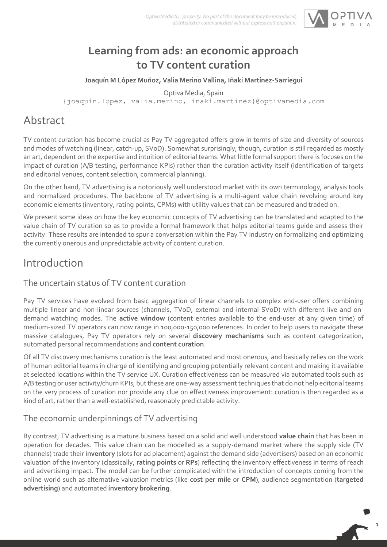

# **Learning from ads: an economic approach to TV content curation**

**Joaquín M López Muñoz, Valia Merino Vallina, Iñaki Martínez-Sarriegui**

Optiva Media, Spain

{joaquin.lopez, valia.merino, inaki.martinez}@optivamedia.com

# Abstract

TV content curation has become crucial as Pay TV aggregated offers grow in terms of size and diversity of sources and modes of watching (linear, catch-up, SVoD). Somewhat surprisingly, though, curation is still regarded as mostly an art, dependent on the expertise and intuition of editorial teams. What little formal support there is focuses on the impact of curation (A/B testing, performance KPIs) rather than the curation activity itself (identification of targets and editorial venues, content selection, commercial planning).

On the other hand, TV advertising is a notoriously well understood market with its own terminology, analysis tools and normalized procedures. The backbone of TV advertising is a multi-agent value chain revolving around key economic elements (inventory, rating points, CPMs) with utility values that can be measured and traded on.

We present some ideas on how the key economic concepts of TV advertising can be translated and adapted to the value chain of TV curation so as to provide a formal framework that helps editorial teams guide and assess their activity. These results are intended to spur a conversation within the Pay TV industry on formalizing and optimizing the currently onerous and unpredictable activity of content curation.

# Introduction

### The uncertain status of TV content curation

Pay TV services have evolved from basic aggregation of linear channels to complex end-user offers combining multiple linear and non-linear sources (channels, TVoD, external and internal SVoD) with different live and ondemand watching modes. The **active window** (content entries available to the end-user at any given time) of medium-sized TV operators can now range in 100,000-150,000 references. In order to help users to navigate these massive catalogues, Pay TV operators rely on several **discovery mechanisms** such as content categorization, automated personal recommendations and **content curation**.

Of all TV discovery mechanisms curation is the least automated and most onerous, and basically relies on the work of human editorial teams in charge of identifying and grouping potentially relevant content and making it available at selected locations within the TV service UX. Curation effectiveness can be measured via automated tools such as A/B testing or user activity/churn KPIs, but these are one-way assessment techniques that do not help editorial teams on the very process of curation nor provide any clue on effectiveness improvement: curation is then regarded as a kind of art, rather than a well-established, reasonably predictable activity.

### The economic underpinnings of TV advertising

By contrast, TV advertising is a mature business based on a solid and well understood **value chain** that has been in operation for decades. This value chain can be modelled as a supply-demand market where the supply side (TV channels) trade their **inventory** (slots for ad placement) against the demand side (advertisers) based on an economic valuation of the inventory (classically, **rating points** or **RPs**) reflecting the inventory effectiveness in terms of reach and advertising impact. The model can be further complicated with the introduction of concepts coming from the online world such as alternative valuation metrics (like **cost per mile** or **CPM**), audience segmentation (**targeted advertising**) and automated **inventory brokering**.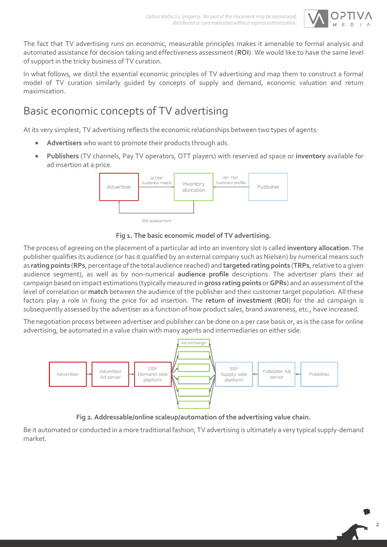

The fact that TV advertising runs on economic, measurable principles makes it amenable to formal analysis and automated assistance for decision taking and effectiveness assessment (**ROI**). We would like to have the same level of support in the tricky business of TV curation.

In what follows, we distil the essential economic principles of TV advertising and map them to construct a formal model of TV curation similarly guided by concepts of supply and demand, economic valuation and return maximization.

# Basic economic concepts of TV advertising

At its very simplest, TV advertising reflects the economic relationships between two types of agents:

- **Advertisers** who want to promote their products through ads.
- **Publishers** (TV channels, Pay TV operators, OTT players) with reserved ad space or **inventory** available for ad insertion at a price.



#### **Fig 1. The basic economic model of TV advertising.**

The process of agreeing on the placement of a particular ad into an inventory slot is called **inventory allocation**. The publisher qualifies its audience (or has it qualified by an external company such as Nielsen) by numerical means such as **rating points** (**RPs**, percentage of the total audience reached) and **targeted rating points** (**TRPs**, relative to a given audience segment), as well as by non-numerical **audience profile** descriptions. The advertiser plans their ad campaign based on impact estimations (typically measured in **gross rating points** or **GPRs**) and an assessment of the level of correlation or **match** between the audience of the publisher and their customer target population. All these factors play a role in fixing the price for ad insertion. The **return of investment** (**ROI**) for the ad campaign is subsequently assessed by the advertiser as a function of how product sales, brand awareness, etc., have increased.

The negotiation process between advertiser and publisher can be done on a per case basis or, as is the case for online advertising, be automated in a value chain with many agents and intermediaries on either side.



**Fig 2. Addressable/online scaleup/automation of the advertising value chain.**

Be it automated or conducted in a more traditional fashion, TV advertising is ultimately a very typical supply-demand market.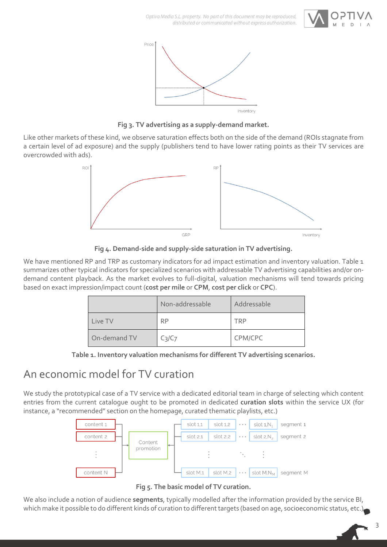



**Fig 3. TV advertising as a supply-demand market.**

Like other markets of these kind, we observe saturation effects both on the side of the demand (ROIs stagnate from a certain level of ad exposure) and the supply (publishers tend to have lower rating points as their TV services are overcrowded with ads).





We have mentioned RP and TRP as customary indicators for ad impact estimation and inventory valuation. Table 1 summarizes other typical indicators for specialized scenarios with addressable TV advertising capabilities and/or ondemand content playback. As the market evolves to full-digital, valuation mechanisms will tend towards pricing based on exact impression/impact count (**cost per mile** or **CPM**, **cost per click** or **CPC**).

|              | Non-addressable                | Addressable |
|--------------|--------------------------------|-------------|
| Live TV      | <b>RP</b>                      | TRP         |
| On-demand TV | C <sub>3</sub> /C <sub>7</sub> | CPM/CPC     |

**Table 1. Inventory valuation mechanisms for different TV advertising scenarios.**

## An economic model for TV curation

We study the prototypical case of a TV service with a dedicated editorial team in charge of selecting which content entries from the current catalogue ought to be promoted in dedicated **curation slots** within the service UX (for instance, a "recommended" section on the homepage, curated thematic playlists, etc.)





We also include a notion of audience **segments**, typically modelled after the information provided by the service BI, which make it possible to do different kinds of curation to different targets (based on age, socioeconomic status, etc.)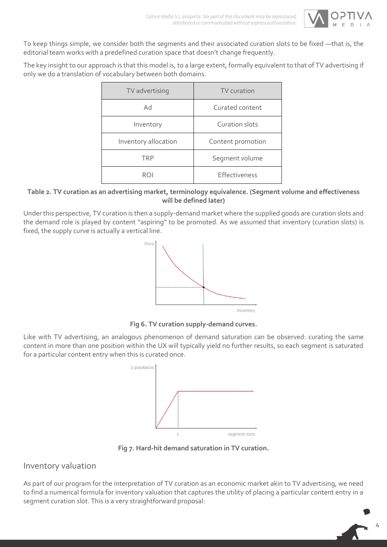

To keep things simple, we consider both the segments and their associated curation slots to be fixed —that is, the editorial team works with a predefined curation space that doesn't change frequently.

The key insight to our approach is that this model is, to a large extent, formally equivalent to that of TV advertising if only we do a translation of vocabulary between both domains.

| TV advertising       | TV curation       |
|----------------------|-------------------|
| Ad                   | Curated content   |
| Inventory            | Curation slots    |
| Inventory allocation | Content promotion |
| <b>TRP</b>           | Segment volume    |
| ROI                  | Effectiveness     |

#### **Table 2. TV curation as an advertising market, terminology equivalence. (Segment volume and effectiveness will be defined later)**

Under this perspective, TV curation is then a supply-demand market where the supplied goods are curation slots and the demand role is played by content "aspiring" to be promoted. As we assumed that inventory (curation slots) is fixed, the supply curve is actually a vertical line.



**Fig 6. TV curation supply-demand curves.**

Like with TV advertising, an analogous phenomenon of demand saturation can be observed: curating the same content in more than one position within the UX will typically yield no further results, so each segment is saturated for a particular content entry when this is curated once.



**Fig 7. Hard-hit demand saturation in TV curation.**

### Inventory valuation

As part of our program for the interpretation of TV curation as an economic market akin to TV advertising, we need to find a numerical formula for inventory valuation that captures the utility of placing a particular content entry in a segment curation slot. This is a very straightforward proposal: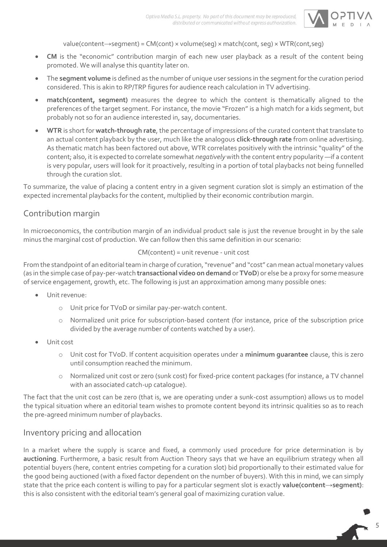

value(content→segment) = CM(cont) × volume(seg) × match(cont, seg) × WTR(cont,seg)

- **CM** is the "economic" contribution margin of each new user playback as a result of the content being promoted. We will analyse this quantity later on.
- The **segment volume** is defined as the number of unique user sessions in the segment for the curation period considered. This is akin to RP/TRP figures for audience reach calculation in TV advertising.
- **match(content, segment)** measures the degree to which the content is thematically aligned to the preferences of the target segment. For instance, the movie "Frozen" is a high match for a kids segment, but probably not so for an audience interested in, say, documentaries.
- **WTR** is short for **watch-through rate**, the percentage of impressions of the curated content that translate to an actual content playback by the user, much like the analogous **click-through rate** from online advertising. As thematic match has been factored out above, WTR correlates positively with the intrinsic "quality" of the content; also, it is expected to correlate somewhat *negatively* with the content entry popularity —if a content is very popular, users will look for it proactively, resulting in a portion of total playbacks not being funnelled through the curation slot.

To summarize, the value of placing a content entry in a given segment curation slot is simply an estimation of the expected incremental playbacks for the content, multiplied by their economic contribution margin.

### Contribution margin

In microeconomics, the contribution margin of an individual product sale is just the revenue brought in by the sale minus the marginal cost of production. We can follow then this same definition in our scenario:

#### CM(content) = unit revenue - unit cost

From the standpoint of an editorial team in charge of curation, "revenue" and "cost" can mean actual monetary values (as in the simple case of pay-per-watch **transactional video on demand** or **TVoD**) or else be a proxy for some measure of service engagement, growth, etc. The following is just an approximation among many possible ones:

- Unit revenue:
	- o Unit price for TVoD or similar pay-per-watch content.
	- o Normalized unit price for subscription-based content (for instance, price of the subscription price divided by the average number of contents watched by a user).
- Unit cost
	- o Unit cost for TVoD. If content acquisition operates under a **minimum guarantee** clause, this is zero until consumption reached the minimum.
	- o Normalized unit cost or zero (sunk cost) for fixed-price content packages (for instance, a TV channel with an associated catch-up catalogue).

The fact that the unit cost can be zero (that is, we are operating under a sunk-cost assumption) allows us to model the typical situation where an editorial team wishes to promote content beyond its intrinsic qualities so as to reach the pre-agreed minimum number of playbacks.

#### Inventory pricing and allocation

In a market where the supply is scarce and fixed, a commonly used procedure for price determination is by **auctioning**. Furthermore, a basic result from Auction Theory says that we have an equilibrium strategy when all potential buyers (here, content entries competing for a curation slot) bid proportionally to their estimated value for the good being auctioned (with a fixed factor dependent on the number of buyers). With this in mind, we can simply state that the price each content is willing to pay for a particular segment slot is exactly **value(content→segment)**: this is also consistent with the editorial team's general goal of maximizing curation value.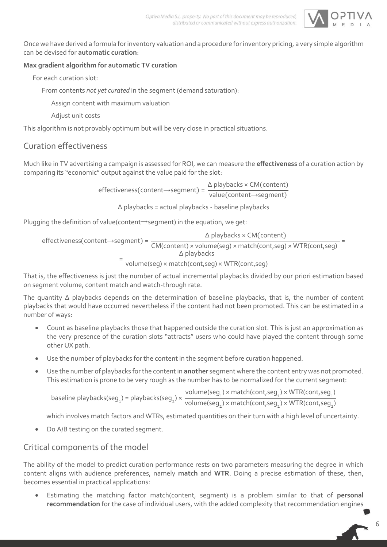

Once we have derived a formula for inventory valuation and a procedure for inventory pricing, a very simple algorithm can be devised for **automatic curation**:

#### **Max gradient algorithm for automatic TV curation**

For each curation slot:

From contents *not yet curated* in the segment (demand saturation):

Assign content with maximum valuation

Adjust unit costs

This algorithm is not provably optimum but will be very close in practical situations.

### Curation effectiveness

Much like in TV advertising a campaign is assessed for ROI, we can measure the **effectiveness** of a curation action by comparing its "economic" output against the value paid for the slot:

> effectiveness(content→segment) = Δ playbacks × CM(content) value(content→segment)

> > Δ playbacks = actual playbacks - baseline playbacks

Plugging the definition of value(content→segment) in the equation, we get:

$$
\Delta \text{ playbacks} \times \text{CM}(\text{content})
$$
\n
$$
= \frac{\Delta \text{ playbacks} \times \text{CM}(\text{content})}{\text{CM}(\text{content}) \times \text{volume}(\text{seg}) \times \text{match}(\text{cont,seg}) \times \text{WTR}(\text{cont,seg})} = \frac{\Delta \text{ playbacks}}{\text{volume}(\text{seg}) \times \text{match}(\text{cont,seg}) \times \text{WTR}(\text{cont,seg})}
$$

That is, the effectiveness is just the number of actual incremental playbacks divided by our priori estimation based on segment volume, content match and watch-through rate.

The quantity Δ playbacks depends on the determination of baseline playbacks, that is, the number of content playbacks that would have occurred nevertheless if the content had not been promoted. This can be estimated in a number of ways:

- Count as baseline playbacks those that happened outside the curation slot. This is just an approximation as the very presence of the curation slots "attracts" users who could have played the content through some other UX path.
- Use the number of playbacks for the content in the segment before curation happened.
- Use the number of playbacks for the content in **another** segment where the content entry was not promoted. This estimation is prone to be very rough as the number has to be normalized for the current segment:

```
baseline playbacks(seg<sub>1</sub>) = playbacks(seg<sub>2</sub>) × \frac{\text{volume}(\text{seq}_1) \times \text{match}(\text{cont,seq}_1) \times \text{WTR}(\text{cont,seq}_1)}{\text{volume}(\text{seq}_1) \times \text{match}(\text{cont,seq}_1) \times \text{WTR}(\text{cont,seq}_1)}volume(seg_{{}_2}) × match(cont,seg_{{}_2}) × WTR(cont,seg_{{}_2})
```
which involves match factors and WTRs, estimated quantities on their turn with a high level of uncertainty.

Do A/B testing on the curated segment.

### Critical components of the model

The ability of the model to predict curation performance rests on two parameters measuring the degree in which content aligns with audience preferences, namely **match** and **WTR**. Doing a precise estimation of these, then, becomes essential in practical applications:

 Estimating the matching factor match(content, segment) is a problem similar to that of **personal recommendation** for the case of individual users, with the added complexity that recommendation engines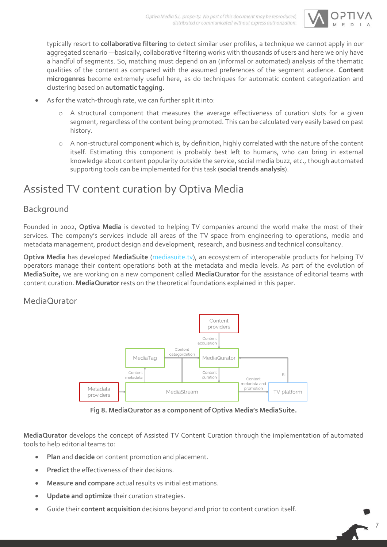

7

typically resort to **collaborative filtering** to detect similar user profiles, a technique we cannot apply in our aggregated scenario —basically, collaborative filtering works with thousands of users and here we only have a handful of segments. So, matching must depend on an (informal or automated) analysis of the thematic qualities of the content as compared with the assumed preferences of the segment audience. **Content microgenres** become extremely useful here, as do techniques for automatic content categorization and clustering based on **automatic tagging**.

- As for the watch-through rate, we can further split it into:
	- o A structural component that measures the average effectiveness of curation slots for a given segment, regardless of the content being promoted. This can be calculated very easily based on past history.
	- o A non-structural component which is, by definition, highly correlated with the nature of the content itself. Estimating this component is probably best left to humans, who can bring in external knowledge about content popularity outside the service, social media buzz, etc., though automated supporting tools can be implemented for this task (**social trends analysis**).

## Assisted TV content curation by Optiva Media

### Background

Founded in 2002, **Optiva Media** is devoted to helping TV companies around the world make the most of their services. The company's services include all areas of the TV space from engineering to operations, media and metadata management, product design and development, research, and business and technical consultancy.

**Optiva Media** has developed **MediaSuite** [\(mediasuite.tv\)](http://mediasuite.tv/), an ecosystem of interoperable products for helping TV operators manage their content operations both at the metadata and media levels. As part of the evolution of **MediaSuite,** we are working on a new component called **MediaQurator** for the assistance of editorial teams with content curation. **MediaQurator** rests on the theoretical foundations explained in this paper.

#### MediaQurator



**Fig 8. MediaQurator as a component of Optiva Media's MediaSuite.**

**MediaQurator** develops the concept of Assisted TV Content Curation through the implementation of automated tools to help editorial teams to:

- **Plan** and **decide** on content promotion and placement.
- **Predict** the effectiveness of their decisions.
- **Measure and compare** actual results vs initial estimations.
- **Update and optimize** their curation strategies.
- Guide their **content acquisition** decisions beyond and prior to content curation itself.